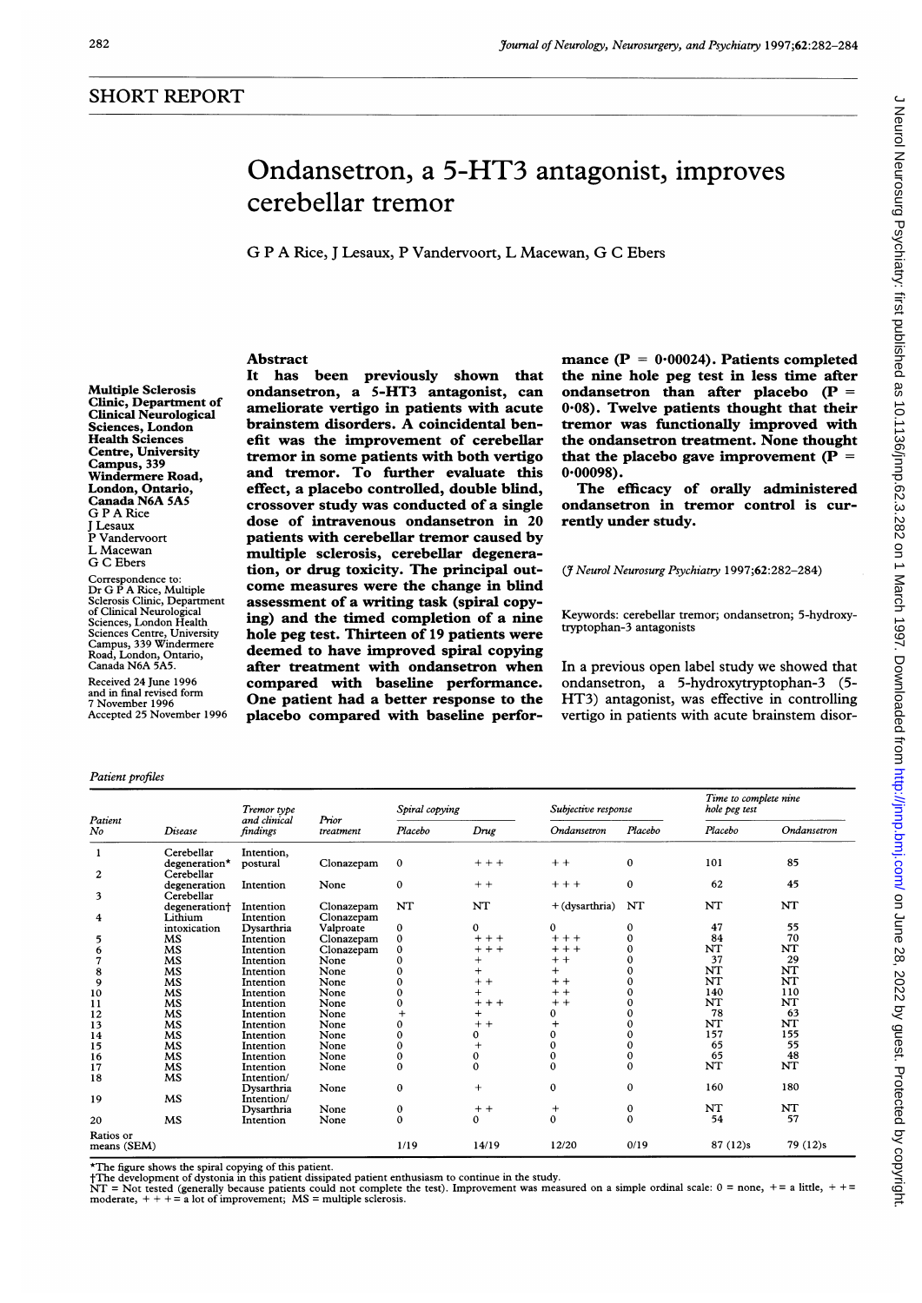# Ondansetron, <sup>a</sup> 5-HT3 antagonist, improves cerebellar tremor

G <sup>P</sup> A Rice, <sup>J</sup> Lesaux, <sup>P</sup> Vandervoort, L Macewan, G C Ebers

# Abstract

Multiple Sclerosis Clinic, Department of Clinical Neurological Sciences, London Health Sciences Centre, University Campus, 339 Windermere Road, London, Ontario, Canada N6A 5A5 G P A Rice J Lesaux P Vandervoort L Macewan G C Ebers

Correspondence to: Dr G <sup>P</sup> A Rice, Multiple Sclerosis Clinic, Department of Clinical Neurological Sciences, London Health Sciences Centre, University Campus, 339 Windermere Road, London, Ontario, Canada N6A 5A5.

Received 24 June 1996 and in final revised form November 1996 Accepted 25 November 1996

#### Patient profiles

It has been previously shown that ondansetron, a 5-HT3 antagonist, can ameliorate vertigo in patients with acute brainstem disorders. A coincidental benefit was the improvement of cerebellar tremor in some patients with both vertigo and tremor. To further evaluate this effect, a placebo controlled, double blind, crossover study was conducted of a single dose of intravenous ondansetron in 20 patients with cerebellar tremor caused by multiple sclerosis, cerebellar degeneration, or drug toxicity. The principal outcome measures were the change in blind assessment of a writing task (spiral copying) and the timed completion of a nine hole peg test. Thirteen of 19 patients were deemed to have improved spiral copying after treatment with ondansetron when compared with baseline performance. One patient had a better response to the placebo compared with baseline performance  $(P = 0.00024)$ . Patients completed the nine hole peg test in less time after ondansetron than after placebo  $(P =$ 0.08). Twelve patients thought that their tremor was functionally improved with the ondansetron treatment. None thought that the placebo gave improvement ( $P =$ 0.00098).

The efficacy of orally administered ondansetron in tremor control is currently under study.

### (7 Neurol Neurosurg Psychiatry 1997;62:282-284)

Keywords: cerebellar tremor; ondansetron; 5-hydroxytryptophan-3 antagonists

In <sup>a</sup> previous open label study we showed that ondansetron, a 5-hydroxytryptophan-3 (5- HT3) antagonist, was effective in controlling vertigo in patients with acute brainstem disor-

| Patient<br>No  | Disease       | Tremor type<br>and clinical<br>findings | Prior<br>treatment | Spiral copying |          | Subjective response |              | Time to complete nine<br>hole peg test |             |
|----------------|---------------|-----------------------------------------|--------------------|----------------|----------|---------------------|--------------|----------------------------------------|-------------|
|                |               |                                         |                    | Placebo        | Drug     | Ondansetron         | Placebo      | Placebo                                | Ondansetron |
| 1              | Cerebellar    | Intention,                              |                    |                |          |                     |              |                                        |             |
|                | degeneration* | postural                                | Clonazepam         | $\mathbf 0$    | $++$     | $+ +$               | $\bf{0}$     | 101                                    | 85          |
| $\overline{c}$ | Cerebellar    |                                         |                    |                |          |                     |              |                                        |             |
|                | degeneration  | Intention                               | None               | 0              | $+ +$    | $+ + +$             | $\mathbf{0}$ | 62                                     | 45          |
| 3              | Cerebellar    |                                         |                    |                |          |                     |              |                                        |             |
|                | degeneration+ | Intention                               | Clonazepam         | NT             | NT       | + (dysarthria)      | NT           | NT                                     | NT          |
| 4              | Lithium       | Intention                               | Clonazepam         |                |          |                     |              |                                        |             |
|                | intoxication  | Dysarthria                              | Valproate          | 0              | 0        | 0                   | 0            | 47                                     | 55          |
| 5              | MS            | Intention                               | Clonazepam         | 0              | $+ + +$  | $+ + +$             |              | 84                                     | 70          |
| 6              | MS            | Intention                               | Clonazepam         | 0              | $+ + +$  | $++$                |              | NT                                     | NT          |
| $\overline{7}$ | MS            | Intention                               | None               | 0              | $^+$     | $+ +$               |              | 37                                     | 29          |
| 8              | MS            | Intention                               | None               | 0              | $+$      | $+$                 |              | NT                                     | NT          |
| 9              | MS            | Intention                               | None               | 0              | $+ +$    | $+ +$               |              | NT                                     | NT          |
| 10             | MS            | Intention                               | None               | 0              | $^{+}$   | $+ +$               |              | 140                                    | 110         |
| 11             | MS            | Intention                               | None               | 0              | $+ + +$  | $+ +$               |              | NT                                     | NT          |
| 12             | <b>MS</b>     | Intention                               | None               |                | $^{+}$   | 0                   |              | 78                                     | 63          |
| 13             | MS            | Intention                               | None               | 0              | $+ +$    | $^{+}$              |              | NT                                     | NT          |
| 14             | MS            | Intention                               | None               | 0              | 0        | 0                   |              | 157                                    | 155         |
| 15             | MS            | Intention                               | None               | 0              | $+$      | $\Omega$            |              | 65                                     | 55          |
| 16             | MS            | Intention                               | None               | 0              | $\bf{0}$ | $\bf{0}$            |              | 65                                     | 48          |
| 17             | MS            | Intention                               | None               | 0              | $\Omega$ | $\Omega$            | $\Omega$     | NT                                     | NT          |
| 18             | MS            | Intention/                              |                    |                |          |                     |              |                                        |             |
|                |               | Dysarthria                              | None               | $\bf{0}$       | $+$      | $\mathbf 0$         | $\mathbf 0$  | 160                                    | 180         |
| 19             | MS            | Intention/                              |                    |                |          |                     |              |                                        |             |
|                |               | Dysarthria                              | None               | 0              | $+ +$    | $+$                 | 0            | NT                                     | NT          |
| 20             | <b>MS</b>     | Intention                               | None               | $\mathbf 0$    | 0        | $\mathbf 0$         | $\mathbf 0$  | 54                                     | 57          |
| Ratios or      |               |                                         |                    |                |          |                     |              |                                        |             |
| means (SEM)    |               |                                         |                    | 1/19           | 14/19    | 12/20               | 0/19         | 87 (12)s                               | 79 (12)s    |

\*The figure shows the spiral copying of this patient. tThe development of dystonia in this patient dissipated patient enthusiasm to continue in the study.

NT = Not tested (generally because patients could not complete the test). Improvement was measured on a simple ordinal scale:  $0 =$  none,  $+ =$  a little,  $+ =$  moderate,  $+ + + =$  a lot of improvement; MS = multiple sclerosis.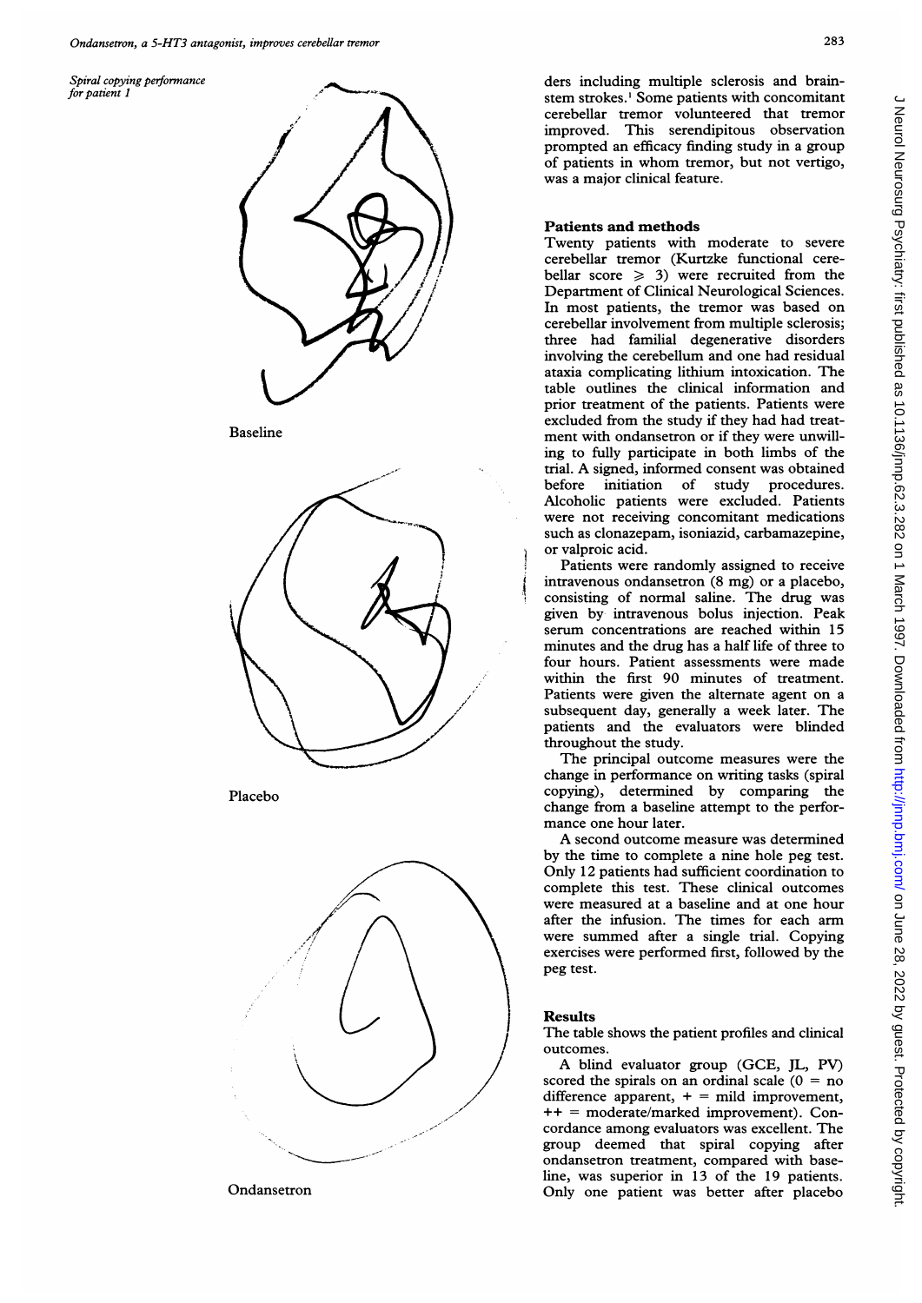





Spiral copying performance<br>for patient 1 concentrate ders including multiple sclerosis and brain-<br>for patient 1 concentrate ders including multiple sclerosis and brainstem strokes.<sup>1</sup> Some patients with concomitant cerebellar tremor volunteered that tremor improved. This serendipitous observation prompted an efficacy finding study in a group of patients in whom tremor, but not vertigo, was a major clinical feature.

# Patients and methods

Twenty patients with moderate to severe cerebellar tremor (Kurtzke functional cerebellar score  $\geq 3$ ) were recruited from the Department of Clinical Neurological Sciences. In most patients, the tremor was based on cerebellar involvement from multiple sclerosis; three had familial degenerative disorders involving the cerebellum and one had residual ataxia complicating lithium intoxication. The table outlines the clinical information and prior treatment of the patients. Patients were excluded from the study if they had had treat-Baseline ment with ondansetron or if they were unwilling to fully participate in both limbs of the trial. A signed, informed consent was obtained before initiation of study procedures. Alcoholic patients were excluded. Patients were not receiving concomitant medications such as clonazepam, isoniazid, carbamazepine, or valproic acid.

Patients were randomly assigned to receive intravenous ondansetron (8 mg) or a placebo, consisting of normal saline. The drug was given by intravenous bolus injection. Peak serum concentrations are reached within 15 minutes and the drug has a half life of three to four hours. Patient assessments were made within the first 90 minutes of treatment. Patients were given the alternate agent on a subsequent day, generally a week later. The patients and the evaluators were blinded throughout the study.

The principal outcome measures were the change in performance on writing tasks (spiral Placebo copying), determined by comparing the change from a baseline attempt to the performance one hour later.

A second outcome measure was determined by the time to complete a nine hole peg test. Only 12 patients had sufficient coordination to complete this test. These clinical outcomes were measured at a baseline and at one hour after the infusion. The times for each arm were summed after a single trial. Copying exercises were performed first, followed by the peg test.

## Results

The table shows the patient profiles and clinical outcomes.

A blind evaluator group (GCE, JL, PV) scored the spirals on an ordinal scale  $(0 = no$ difference apparent,  $+$  = mild improvement, ++ = moderate/marked improvement). Concordance among evaluators was excellent. The group deemed that spiral copying after ondansetron treatment, compared with baseline, was superior in 13 of the 19 patients. Ondansetron Only one patient was better after placebo